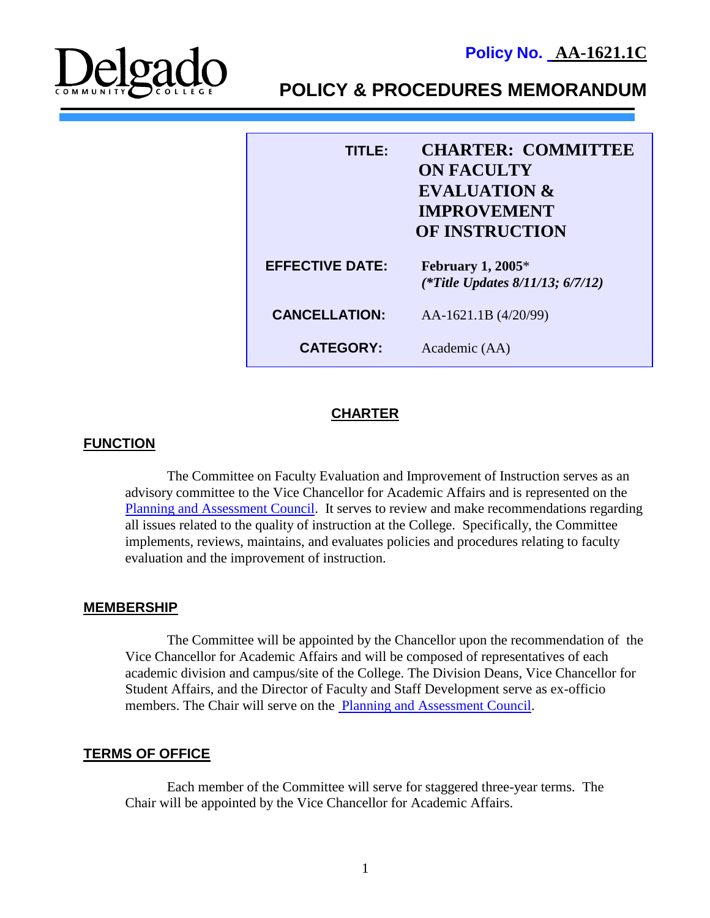**Policy No. AA-1621.1C**



**POLICY & PROCEDURES MEMORANDUM**

| <b>CHARTER: COMMITTEE</b><br>TITLER<br><b>ON FACULTY</b><br><b>EVALUATION &amp;</b><br><b>IMPROVEMENT</b><br><b>OF INSTRUCTION</b> |                                                               |
|------------------------------------------------------------------------------------------------------------------------------------|---------------------------------------------------------------|
| <b>EFFECTIVE DATE:</b>                                                                                                             | February 1, $2005*$<br>(*Title Updates $8/11/13$ ; $6/7/12$ ) |
| <b>CANCELLATION:</b>                                                                                                               | AA-1621.1B (4/20/99)                                          |
| <b>CATEGORY:</b>                                                                                                                   | Academic (AA)                                                 |

# **CHARTER**

## **FUNCTION**

The Committee on Faculty Evaluation and Improvement of Instruction serves as an advisory committee to the Vice Chancellor for Academic Affairs and is represented on the [Planning and Assessment Council.](http://docushare3.dcc.edu/docushare/dsweb/Get/Document-525) It serves to review and make recommendations regarding all issues related to the quality of instruction at the College. Specifically, the Committee implements, reviews, maintains, and evaluates policies and procedures relating to faculty evaluation and the improvement of instruction.

## **MEMBERSHIP**

The Committee will be appointed by the Chancellor upon the recommendation of the Vice Chancellor for Academic Affairs and will be composed of representatives of each academic division and campus/site of the College. The Division Deans, Vice Chancellor for Student Affairs, and the Director of Faculty and Staff Development serve as ex-officio members. The Chair will serve on the [Planning and Assessment Council.](http://docushare3.dcc.edu/docushare/dsweb/Get/Document-525)

## **TERMS OF OFFICE**

Each member of the Committee will serve for staggered three-year terms. The Chair will be appointed by the Vice Chancellor for Academic Affairs.